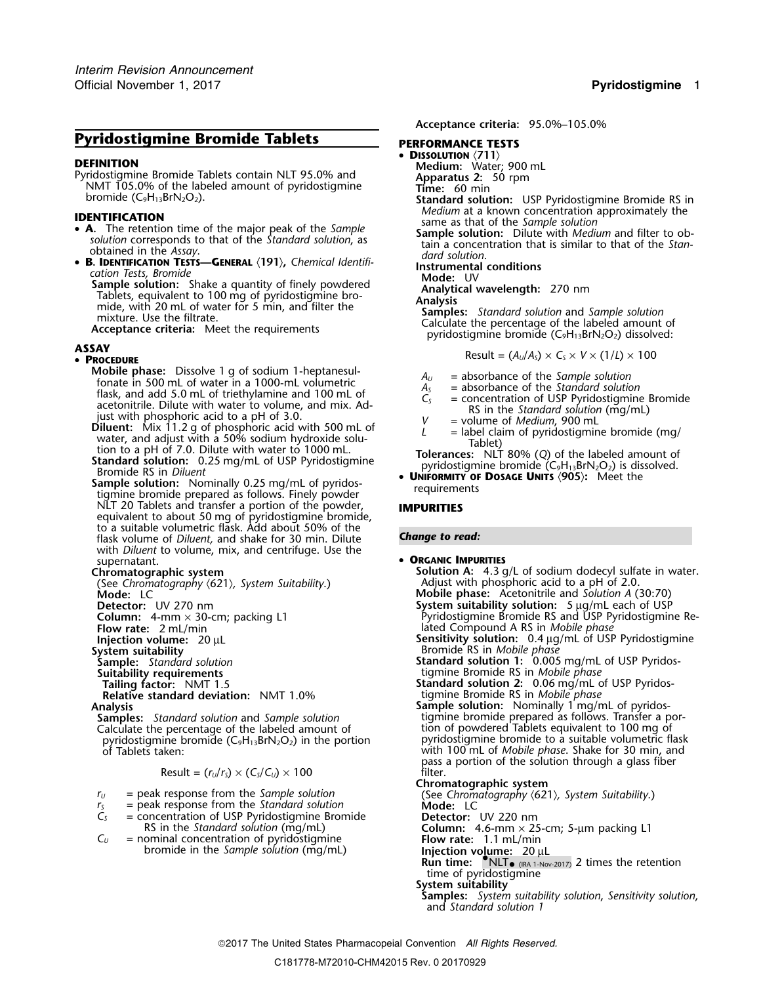# **Pyridostigmine Bromide Tablets** PERFORMANCE TESTS

**DISSOLUTION**<br>**DISSOLUTION**<br>Pyridostigmine Bromide Tablets contain NLT 95.0% and<br>NMT 105.0% of the labeled amount of pyridostigmine<br>bromide (C<sub>9</sub>H<sub>13</sub>BrN<sub>2</sub>O<sub>2</sub>).<br>Standard solution: USP

- 
- •

**• B. IDENTIFICATION TESTS—GENERAL** (191), Chemical Identifi-<br>
cation Tests, Bromide<br>
Sample solution: Shake a quantity of finely powdered<br>
Tablets, equivalent to 100 mg of pyridostigmine bro-<br>
mide, with 20 mL of water f

## **PROCEDURE**

Mobile phase: Dissolve 1 g of sodium 1-heptanesul-<br>
fonate in 5000-mL volumetric and 1000-mL volumetric and 1000-mL volume and 1000-mL volume and 1000-mL of acetonitrile. Dilute with water to volume, and mix. Adjust with

Bromide RS in Diluent<br>
Sample solution: Nominally 0.25 mg/mL of pyridos-<br>
tigmine bromide prepared as follows. Finely powder<br>
tigmine bromide prepared as follows. Finely powder<br>
tigmine solution: Nominally 0.25 mg/mL of py NLT 20 Tablets and transfer a portion of the powder, **IMPURITIES** equivalent to about 50 mg of pyridostigmine bromide, to a suitable volumetric flask. Add about 50% of the flask volume of *Diluent*, and shake for 30 min. Dilute **Change to read:** with *Diluent* to volume, mix, and centrifuge. Use the supernatant. • **<sup>O</sup>RGANIC IMPURITIES**

(See Chromatography  $\langle 621 \rangle$ *, System Suitability.*) **Mode:** LC

**Relative standard deviation:** NMT 1.0%

Calculate the percentage of the labeled amount of powerdostigmine bromide  $(C_9H_{13}BrN_2O_2)$  in the portion

Result = 
$$
(r_U/r_S) \times (C_S/C_U) \times 100
$$
 filter.

- 
- $r_s$  = peak response from the *Standard solution*<br> $C_s$  = concentration of USP Pyridostigmine Bror *C<sup>S</sup>* = concentration of USP Pyridostigmine Bromide **Detector:** UV 220 nm
- - bromide in the *Sample solution* (mg/mL)

**Acceptance criteria:** 95.0%–105.0%

•

- 
- 
- 
- 
- **Standard solution:** USP Pyridostigmine Bromide RS in **IDENTIFICATION**<br> **IDENTIFICATION**<br> **A.** The retartion time of the major peak of the *Sample*<br> **IDENTIFICATION**<br> **IDENTIFICATION**<br> **Sample solution:** Dilute with *Medium* and filter to ob
	- solution corresponds to that of the *standard solution*, as<br>obtained in the Assay.<br>**B. IDENTIFICATION TESTS—GENERAL** (191), Chemical Identifi-<br>death of the standard solution.

**ASSAY** Result = (*AU*/*AS*) <sup>×</sup> *<sup>C</sup><sup>S</sup>* <sup>×</sup> *<sup>V</sup>* <sup>×</sup> (1/*L*) ×<sup>100</sup> •

- 
- 
- 
- 
- 

**Solution A:** 4.3 g/L of sodium dodecyl sulfate in water.<br>Adjust with phosphoric acid to a pH of 2.0. **Mobile phase:** Acetonitrile and *Solution A* (30:70)<br>Detector: UV 270 nm **Mobile phase:** Acetonitrile and *Solution A* (30:70) **System suitability solution:** 5 µg/mL each of USP **Column:** 4-mm × 30-cm; packing L1 **Pyridostigmine Bromide RS and USP Pyridostigmine Re-**<br>**Flow rate:** 2 mL/min **Propile Re-** lated Compound A RS in *Mobile phase* **Flow rate:** 2 mL/min lated Compound A RS in *Mobile phase*<br>Injection volume: 20 µL **lated Compound A RS in** *Mobile phase*<br>**Sensitivity solution:** 0.4 µg/mL of USI Sensitivity solution: 0.4 µg/mL of USP Pyridostigmine **System suitability** Bromide RS in *Mobile phase* **Sample:** *Standard solution* **Standard solution 1:** 0.005 mg/mL of USP Pyridos-**Sample:** Standard solution **Standard solution**<br> **Suitability requirements** tigmine Bromide RS in *Mobile phase*<br> **Tailing factor:** NMT 1.5 **Standard solution 2:** 0.06 mg/mL o **Tailing factor:** No.06 mg/mL of USP Pyridos-<br>tigmine Bromide RS in *Mobile phase* **Analysis**<br>**Analysis Sample solution:** Nominally 1'mg/mL of pyridos-<br>**Samples:** Standard solution and Sample solution **Sample Standard Standard Standard Standard** Samples: **Standard Standard Standard** Standard Standard S **Samples:** *Standard solution* and *Sample solution* tigmine bromide prepared as follows. Transfer a porpyridostigmine bromide (C<sub>9</sub>H<sub>13</sub>BrN<sub>2</sub>O<sub>2</sub>) in the portion pyridostigmine bromide to a suitable volumetric flask<br>with 100 mL of *Mobile phase*. Shake for 30 min, and with 100 mL of *Mobile phase*. Shake for 30 min, and pass a portion of the solution through a glass fiber filter. **Chromatographic system** *r*<sub>*U*</sub> = peak response from the *Sample solution* (See *Chromatography*  $\langle 621 \rangle$ *, System Suitability.*) = peak response from the *Standard solution* **Mode:** LC RS in the *Standard solution* (mg/mL) **Column:** 4.6-mm × 25-cm; 5-µm packing L1  $C_U$  = nominal concentration of pyridostigmine **Flow rate:** 1.1 mL/min **Run time:** •NLT<sub>• (IRA 1-Nov-2017)</sub> 2 times the retention time of pyridostigmine **System suitability Samples:** *System suitability solution*, *Sensitivity solution*, and *Standard solution 1*

2017 The United States Pharmacopeial Convention *All Rights Reserved.*